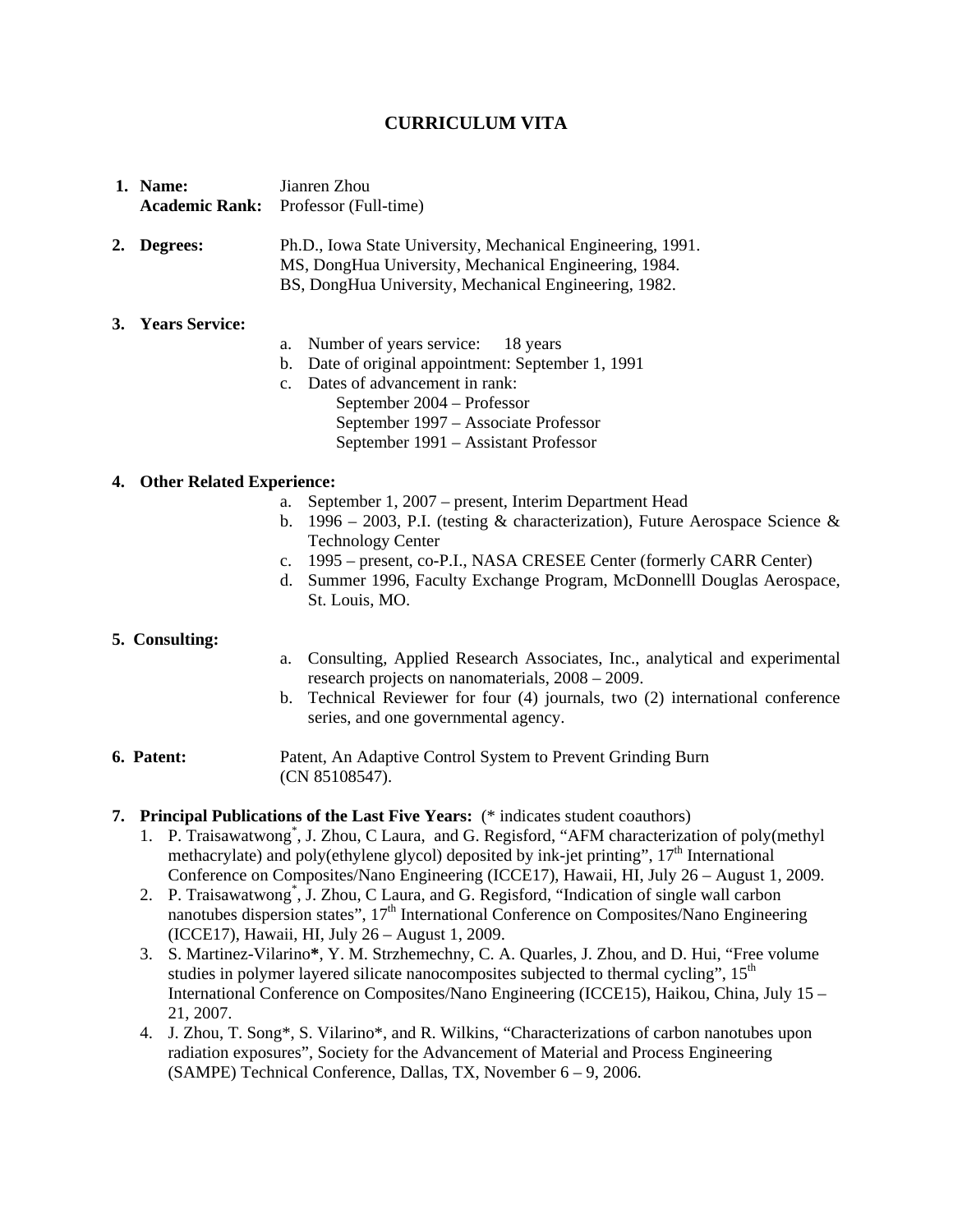# **CURRICULUM VITA**

- **1. Name:** Jianren Zhou **Academic Rank:** Professor (Full-time)
- **2. Degrees:** Ph.D., Iowa State University, Mechanical Engineering, 1991. MS, DongHua University, Mechanical Engineering, 1984. BS, DongHua University, Mechanical Engineering, 1982.

### **3. Years Service:**

- a. Number of years service: 18 years
- b. Date of original appointment: September 1, 1991
- c. Dates of advancement in rank: September 2004 – Professor September 1997 – Associate Professor September 1991 – Assistant Professor

### **4. Other Related Experience:**

- a. September 1, 2007 present, Interim Department Head
- b. 1996 2003, P.I. (testing  $\&$  characterization), Future Aerospace Science  $\&$ Technology Center
- c. 1995 present, co-P.I., NASA CRESEE Center (formerly CARR Center)
- d. Summer 1996, Faculty Exchange Program, McDonnelll Douglas Aerospace, St. Louis, MO.

#### **5. Consulting:**

- a. Consulting, Applied Research Associates, Inc., analytical and experimental research projects on nanomaterials, 2008 – 2009.
- b. Technical Reviewer for four (4) journals, two (2) international conference series, and one governmental agency.
- **6. Patent:** Patent, An Adaptive Control System to Prevent Grinding Burn (CN 85108547).
- **7. Principal Publications of the Last Five Years:** (\* indicates student coauthors)
	- 1. P. Traisawatwong<sup>\*</sup>, J. Zhou, C Laura, and G. Regisford, "AFM characterization of poly(methyl methacrylate) and poly(ethylene glycol) deposited by ink-jet printing",  $17<sup>th</sup>$  International Conference on Composites/Nano Engineering (ICCE17), Hawaii, HI, July 26 – August 1, 2009.
	- 2. P. Traisawatwong<sup>\*</sup>, J. Zhou, C Laura, and G. Regisford, "Indication of single wall carbon nanotubes dispersion states",  $17<sup>th</sup>$  International Conference on Composites/Nano Engineering (ICCE17), Hawaii, HI, July 26 – August 1, 2009.
	- 3. S. Martinez-Vilarino**\***, Y. M. Strzhemechny, C. A. Quarles, J. Zhou, and D. Hui, "Free volume studies in polymer layered silicate nanocomposites subjected to thermal cycling",  $15<sup>th</sup>$ International Conference on Composites/Nano Engineering (ICCE15), Haikou, China, July 15 – 21, 2007.
	- 4. J. Zhou, T. Song\*, S. Vilarino\*, and R. Wilkins, "Characterizations of carbon nanotubes upon radiation exposures", Society for the Advancement of Material and Process Engineering (SAMPE) Technical Conference, Dallas, TX, November 6 – 9, 2006.